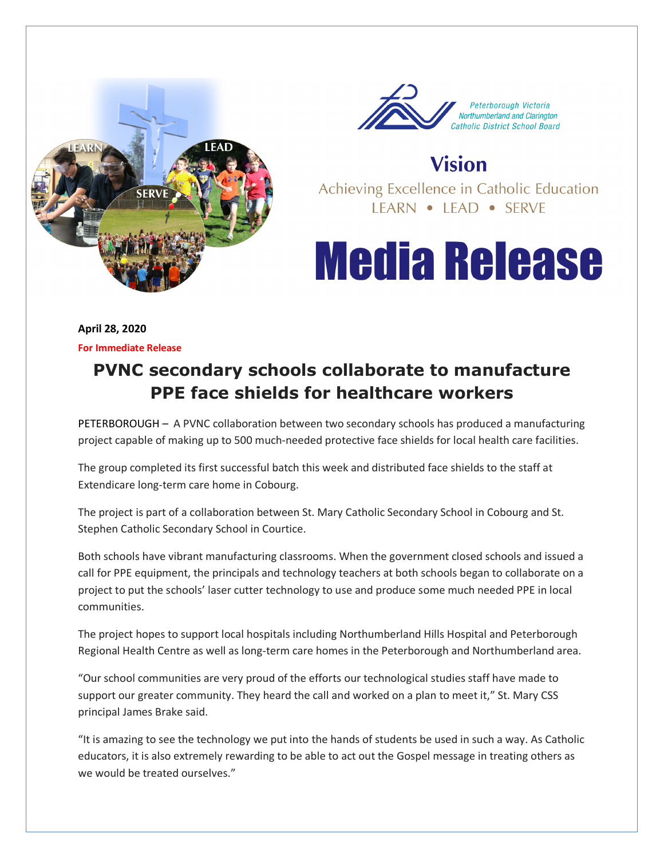



**Vision** Achieving Excellence in Catholic Education LEARN • LEAD • SERVE

## **Media Release**

**April 28, 2020 For Immediate Release** 

## **PVNC secondary schools collaborate to manufacture PPE face shields for healthcare workers**

PETERBOROUGH – A PVNC collaboration between two secondary schools has produced a manufacturing project capable of making up to 500 much-needed protective face shields for local health care facilities.

The group completed its first successful batch this week and distributed face shields to the staff at Extendicare long-term care home in Cobourg.

The project is part of a collaboration between St. Mary Catholic Secondary School in Cobourg and St. Stephen Catholic Secondary School in Courtice.

Both schools have vibrant manufacturing classrooms. When the government closed schools and issued a call for PPE equipment, the principals and technology teachers at both schools began to collaborate on a project to put the schools' laser cutter technology to use and produce some much needed PPE in local communities.

The project hopes to support local hospitals including Northumberland Hills Hospital and Peterborough Regional Health Centre as well as long-term care homes in the Peterborough and Northumberland area.

"Our school communities are very proud of the efforts our technological studies staff have made to support our greater community. They heard the call and worked on a plan to meet it," St. Mary CSS principal James Brake said.

"It is amazing to see the technology we put into the hands of students be used in such a way. As Catholic educators, it is also extremely rewarding to be able to act out the Gospel message in treating others as we would be treated ourselves."